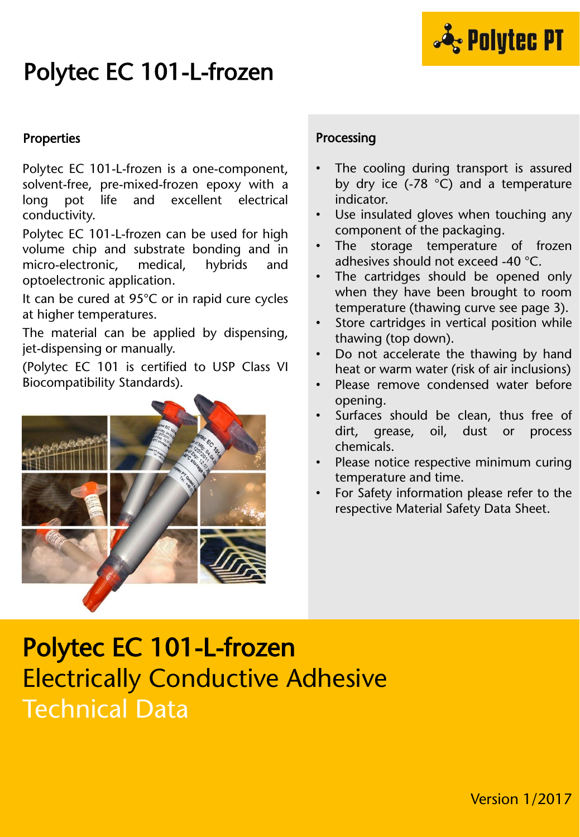

# Polytec EC 101-L-frozen

#### Properties

Polytec EC 101-L-frozen is a one-component, solvent-free, pre-mixed-frozen epoxy with a long pot life and excellent electrical conductivity.

Polytec EC 101-L-frozen can be used for high volume chip and substrate bonding and in micro-electronic, medical, hybrids and optoelectronic application.

It can be cured at 95°C or in rapid cure cycles at higher temperatures.

The material can be applied by dispensing, jet-dispensing or manually.

(Polytec EC 101 is certified to USP Class VI Biocompatibility Standards).



#### Processing

- The cooling during transport is assured by dry ice (-78 °C) and a temperature indicator.
- Use insulated gloves when touching any component of the packaging.
- The storage temperature of frozen adhesives should not exceed -40 °C.
- The cartridges should be opened only when they have been brought to room temperature (thawing curve see page 3).
- Store cartridges in vertical position while thawing (top down).
- Do not accelerate the thawing by hand heat or warm water (risk of air inclusions)
- Please remove condensed water before opening.
- Surfaces should be clean, thus free of dirt, grease, oil, dust or process chemicals.
- Please notice respective minimum curing temperature and time.
- For Safety information please refer to the respective Material Safety Data Sheet.

## Polytec EC 101-L-frozen Electrically Conductive Adhesive Technical Data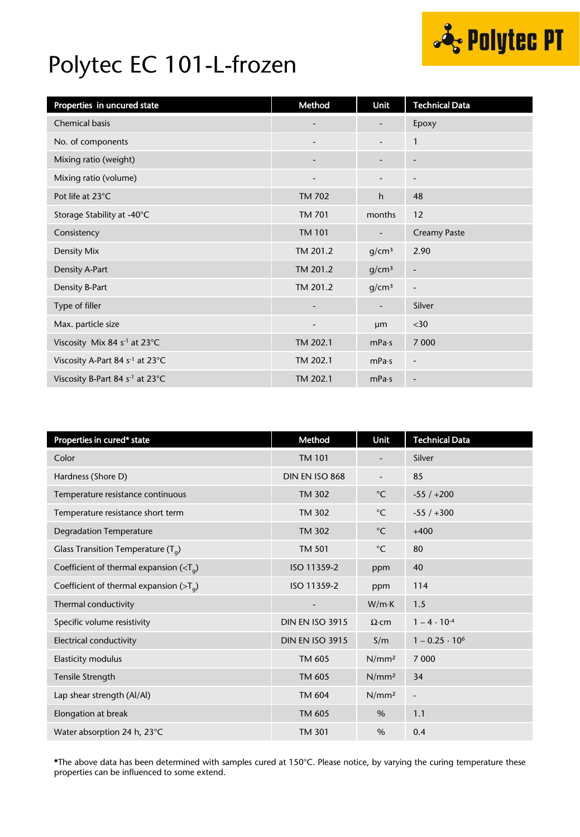

## Polytec EC 101-L-frozen

| Properties in uncured state                            | Method                       | Unit                     | <b>Technical Data</b>        |
|--------------------------------------------------------|------------------------------|--------------------------|------------------------------|
| <b>Chemical basis</b>                                  | $\overline{\phantom{a}}$     |                          | Epoxy                        |
| No. of components                                      | $\overline{\phantom{a}}$     | $\overline{\phantom{a}}$ | $\mathbf{1}$                 |
| Mixing ratio (weight)                                  | $\qquad \qquad \blacksquare$ | $\overline{\phantom{a}}$ | $\overline{\phantom{a}}$     |
| Mixing ratio (volume)                                  |                              |                          | $\overline{\phantom{a}}$     |
| Pot life at 23°C.                                      | <b>TM 702</b>                | h                        | 48                           |
| Storage Stability at -40°C                             | <b>TM 701</b>                | months                   | 12                           |
| Consistency                                            | <b>TM 101</b>                |                          | <b>Creamy Paste</b>          |
| Density Mix                                            | TM 201.2                     | g/cm <sup>3</sup>        | 2.90                         |
| Density A-Part                                         | TM 201.2                     | g/cm <sup>3</sup>        | $\qquad \qquad \blacksquare$ |
| Density B-Part                                         | TM 201.2                     | g/cm <sup>3</sup>        | $\overline{\phantom{a}}$     |
| Type of filler                                         | $\overline{\phantom{a}}$     | $\overline{\phantom{a}}$ | Silver                       |
| Max. particle size                                     | $\overline{\phantom{a}}$     | <b>um</b>                | $30$                         |
| Viscosity Mix 84 s <sup>-1</sup> at 23°C               | TM 202.1                     | mPa·s                    | 7 0 0 0                      |
| Viscosity A-Part 84 s <sup>-1</sup> at 23°C            | TM 202.1                     | mPa·s                    | $\overline{\phantom{a}}$     |
| Viscosity B-Part 84 s <sup>-1</sup> at 23 $^{\circ}$ C | TM 202.1                     | mPa·s                    | $\overline{\phantom{a}}$     |

| Properties in cured* state                 | Method                 | Unit              | <b>Technical Data</b> |
|--------------------------------------------|------------------------|-------------------|-----------------------|
| Color                                      | <b>TM 101</b>          |                   | Silver                |
| Hardness (Shore D)                         | DIN EN ISO 868         |                   | 85                    |
| Temperature resistance continuous          | <b>TM 302</b>          | $^{\circ}$ C      | $-55/+200$            |
| Temperature resistance short term          | <b>TM 302</b>          | $^{\circ}$ C      | $-55/+300$            |
| <b>Degradation Temperature</b>             | <b>TM 302</b>          | $^{\circ}$ C      | $+400$                |
| Glass Transition Temperature $(T_q)$       | <b>TM 501</b>          | $^{\circ}$ C      | 80                    |
| Coefficient of thermal expansion $(Tq)$    | ISO 11359-2            | ppm               | 40                    |
| Coefficient of thermal expansion ( $>Ta$ ) | ISO 11359-2            | ppm               | 114                   |
| Thermal conductivity                       |                        | $W/m \cdot K$     | 1.5                   |
| Specific volume resistivity                | <b>DIN EN ISO 3915</b> | $\Omega$ ·cm      | $1 - 4 \cdot 10^{-4}$ |
| Electrical conductivity                    | <b>DIN EN ISO 3915</b> | S/m               | $1 - 0.25 \cdot 10^6$ |
| Elasticity modulus                         | TM 605                 | N/mm <sup>2</sup> | 7 0 0 0               |
| Tensile Strength                           | TM 605                 | N/mm <sup>2</sup> | 34                    |
| Lap shear strength (Al/Al)                 | TM 604                 | N/mm <sup>2</sup> | $\frac{1}{2}$         |
| Elongation at break                        | TM 605                 | $\%$              | 1.1                   |
| Water absorption 24 h, 23°C                | <b>TM 301</b>          | $\frac{0}{0}$     | 0.4                   |

\*The above data has been determined with samples cured at 150°C. Please notice, by varying the curing temperature these properties can be influenced to some extend.